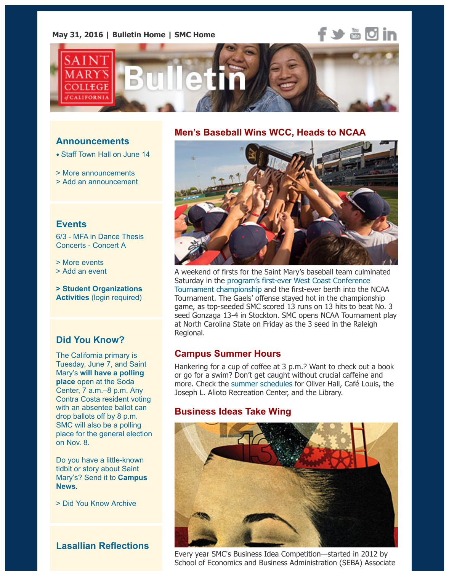

#### **Announcements**

• Staff Town Hall on June 14

> More announcements

> Add an announcement

#### **Events**

6[/3 - MFA in Dance Thesis](https://www.stmarys-ca.edu/staff-town-hall-june-14?utm_source=Bulletin&utm_medium=email&utm_content=announcement_test&utm_campaign=05-31-2016) [Concerts - Concert A](http://www.stmarys-ca.edu/smc-bulletin/announcements?utm_source=Bulletin&utm_medium=email&utm_content=announcement_test&utm_campaign=05-31-2016)

[> More events](http://www.stmarys-ca.edu/node/add/announcement?utm_source=Bulletin&utm_medium=email&utm_content=announcement_test&utm_campaign=05-31-2016)

> Add an event

**> Student Organizations Activities** (login required)

## **[Did You Kn](http://www.stmarys-ca.edu/events?utm_source=Bulletin&utm_medium=email&utm_content=event_test&utm_campaign=05-31-16)ow?**

[The California p](http://www.stmarys-ca.edu/node/add/calendar-event?utm_source=Bulletin&utm_medium=email&utm_content=event_test&utm_campaign=05-31-16)rimary is [Tuesday, June 7, and Sain](https://stmarys-ca-community.symplicity.com/)t Mary's **will have a polling place** open at the Soda Center, 7 a.m.–8 p.m. Any Contra Costa resident voting with an absentee ballot can drop ballots off by 8 p.m. SMC will also be a polling place for the general election on Nov. 8.

[Do you have a little-known](http://www.contracostacore.us/) tidbit or story about Saint Mary's? Send it to **Campus News**.

> Did You Know Archive

## **Lasallian Reflections**

#### **Men's Baseball Wins WCC, Heads to NCAA**



A weekend of firsts for the Saint Mary's baseball team culminat Saturday in the program's first-ever West Coast Conference Tournament championship and the first-ever berth into the NC Tournament. The Gaels' offense stayed hot in the championship game, as top-seeded SMC scored 13 runs on 13 hits to beat No. seed Gonzaga 13-4 in Stockton. SMC opens NCAA Tournament at North Carolina State on Friday as the 3 seed in the Raleigh Regional.

## **Campus Summer Hours**

[Hankering for a cup of coffee at 3 p.m.? Want to check out](http://www.smcgaels.com/ViewArticle.dbml?DB_OEM_ID=21400&ATCLID=210983993) a book or go for a swim? Don't get caught without crucial caffeine and more. Check the summer schedules for Oliver Hall, Café Louis, Joseph L. Alioto Recreation Center, and the Library.

## **Business Ideas Take Wing**



Every year SMC's Business Idea Competition—started in 2012 by School of Economics and Business Administration (SEBA) Assoc